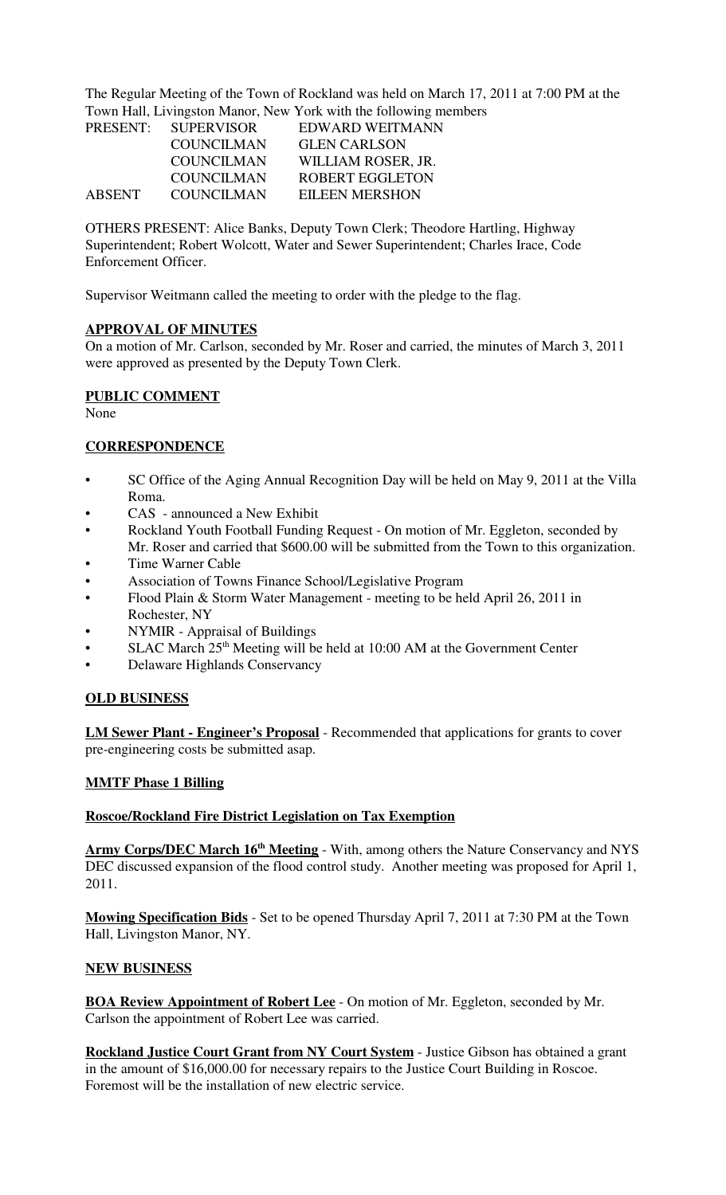The Regular Meeting of the Town of Rockland was held on March 17, 2011 at 7:00 PM at the Town Hall, Livingston Manor, New York with the following members

|        |                     | To will finite, Environmental contracts with the following intentious |
|--------|---------------------|-----------------------------------------------------------------------|
|        | PRESENT: SUPERVISOR | EDWARD WEITMANN                                                       |
|        | <b>COUNCILMAN</b>   | <b>GLEN CARLSON</b>                                                   |
|        | <b>COUNCILMAN</b>   | WILLIAM ROSER, JR.                                                    |
|        | <b>COUNCILMAN</b>   | <b>ROBERT EGGLETON</b>                                                |
| ABSENT | COUNCILMAN          | <b>EILEEN MERSHON</b>                                                 |

OTHERS PRESENT: Alice Banks, Deputy Town Clerk; Theodore Hartling, Highway Superintendent; Robert Wolcott, Water and Sewer Superintendent; Charles Irace, Code Enforcement Officer.

Supervisor Weitmann called the meeting to order with the pledge to the flag.

#### **APPROVAL OF MINUTES**

On a motion of Mr. Carlson, seconded by Mr. Roser and carried, the minutes of March 3, 2011 were approved as presented by the Deputy Town Clerk.

# **PUBLIC COMMENT**

None

## **CORRESPONDENCE**

- SC Office of the Aging Annual Recognition Day will be held on May 9, 2011 at the Villa Roma.
- CAS announced a New Exhibit
- Rockland Youth Football Funding Request On motion of Mr. Eggleton, seconded by
- Mr. Roser and carried that \$600.00 will be submitted from the Town to this organization.
- Time Warner Cable
- Association of Towns Finance School/Legislative Program
- Flood Plain & Storm Water Management meeting to be held April 26, 2011 in Rochester, NY
- NYMIR Appraisal of Buildings
- SLAC March  $25<sup>th</sup>$  Meeting will be held at 10:00 AM at the Government Center
- Delaware Highlands Conservancy

# **OLD BUSINESS**

**LM Sewer Plant - Engineer's Proposal** - Recommended that applications for grants to cover pre-engineering costs be submitted asap.

# **MMTF Phase 1 Billing**

#### **Roscoe/Rockland Fire District Legislation on Tax Exemption**

Army Corps/DEC March 16<sup>th</sup> Meeting - With, among others the Nature Conservancy and NYS DEC discussed expansion of the flood control study. Another meeting was proposed for April 1, 2011.

**Mowing Specification Bids** - Set to be opened Thursday April 7, 2011 at 7:30 PM at the Town Hall, Livingston Manor, NY.

#### **NEW BUSINESS**

**BOA Review Appointment of Robert Lee** - On motion of Mr. Eggleton, seconded by Mr. Carlson the appointment of Robert Lee was carried.

**Rockland Justice Court Grant from NY Court System** - Justice Gibson has obtained a grant in the amount of \$16,000.00 for necessary repairs to the Justice Court Building in Roscoe. Foremost will be the installation of new electric service.